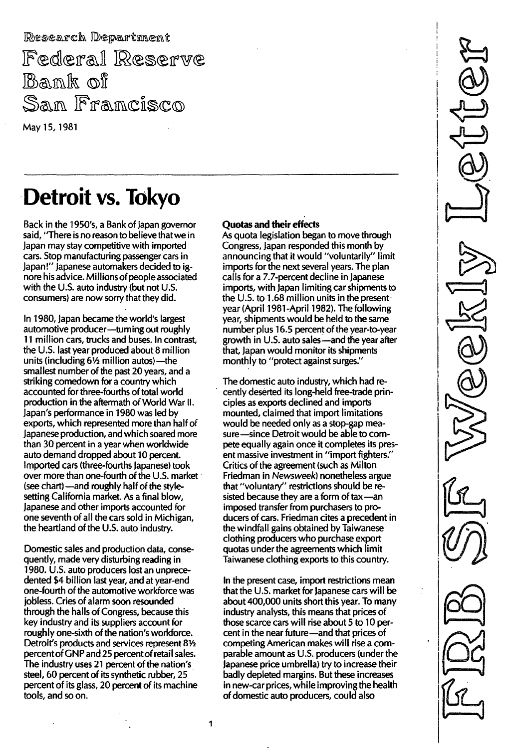Research Department Federal Reserve Bank of San Francisco

May 15, 1981

# Detroit vs. Tokyo

Back in the 1950's, a Bank of Japan governor said, "There is no reason to believe that we in Japan may stay competitive with imported cars. Stop manufacturing passenger cars in Japan!" Japanese automakers decided to ignore his advice. Millions of people associated with the U.S. auto industry (but not U.S. consumers) are now sorry that they did.

In 1980, Japan became the world's largest automotive producer-turning out roughly 11 million cars, trucks and buses. In contrast, the U.S. last year produced about 8 million units (including 61/2 million autos)-the smallest number of the past 20 years, and a striking comedown for a country which accounted for three-fourths of total world production in the aftermath of World War II. Japan's performance in 1980 was led by exports, which represented more than half of Japanese production, and which soared more than 30 percent in a year when worldwide auto demand dropped about 10 percent. Imported cars (three-fourths Japanese) took over more than one-fourth of the U.S. market (see chart) — and roughly half of the stylesetting California market. As a final blow, Japanese and other imports accounted for one seventh of all the cars sold in Michigan, the heartland of the U.S. auto industry.

Domestic sales and production data, consequently, made very disturbing reading in 1980. U.S. auto producers lost an unprecedented \$4 billion last year, and at year-end one-fourth of the automotive workforce was jobless. Cries of alarm soon resounded through the halls of Congress, because this key industry and its suppliers account for roughly one-sixth of the nation's workforce. Detroit's products and services represent 81/2 percent of GNP and 25 percent of retail sales. The industry uses 21 percent of the nation's steel, 60 percent of its synthetic rubber, 25 percent of its glass, 20 percent of its machine tools, and so on.

### **Quotas and their effects**

As quota legislation began to move through Congress, Japan responded this month by announcing that it would "voluntarily" limit imports for the next several years. The plan calls for a 7.7-percent decline in Japanese imports, with Japan limiting car shipments to the U.S. to 1.68 million units in the present year (April 1981-April 1982). The following year, shipments would be held to the same number plus 16.5 percent of the year-to-year growth in U.S. auto sales-and the year after that, Japan would monitor its shipments monthly to "protect against surges."

The domestic auto industry, which had recently deserted its long-held free-trade principles as exports declined and imports mounted, claimed that import limitations would be needed only as a stop-gap measure-since Detroit would be able to compete equally again once it completes its present massive investment in "import fighters." Critics of the agreement (such as Milton Friedman in Newsweek) nonetheless argue that "voluntary" restrictions should be resisted because they are a form of tax -an imposed transfer from purchasers to producers of cars. Friedman cites a precedent in the windfall gains obtained by Taiwanese clothing producers who purchase export quotas under the agreements which limit Taiwanese clothing exports to this country.

In the present case, import restrictions mean that the U.S. market for Japanese cars will be about 400,000 units short this year. To many industry analysts, this means that prices of those scarce cars will rise about 5 to 10 percent in the near future-and that prices of competing American makes will rise a comparable amount as U.S. producers (under the Japanese price umbrella) try to increase their badly depleted margins. But these increases in new-car prices, while improving the health of domestic auto producers, could also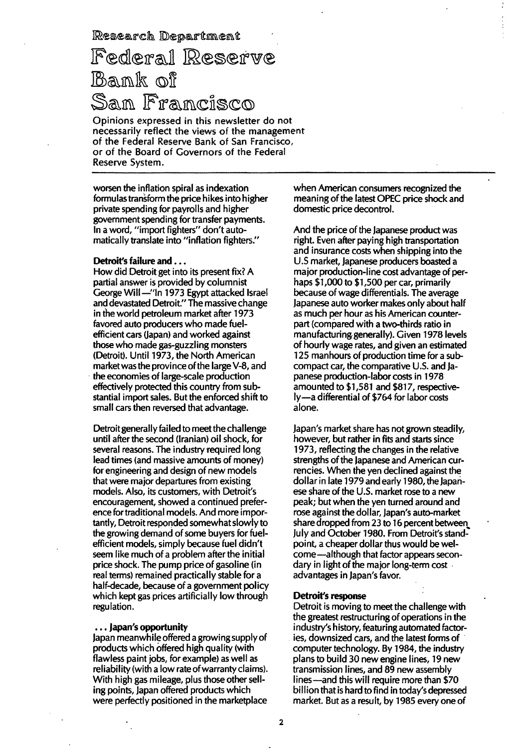Research Department

# Federal Reserve Bank of San Francisco

Opinions expressed in this newsletter do not necessarily reflect the views of the management of the Federal Reserve Bank of San Francisco, or of the Board of Governors of the Federal Reserve System.

worsen the inflation spiral as indexation formulas transform the price hikes into higher private spending for payrolls and higher government spending for transfer payments. In a word, "import fighters" don't automatically translate into "inflation fighters."

#### Detroit's failure and . . .

How did Detroit get into its present fix? A partial answer is provided by columnist George Will-"In 1973 Egypt attacked Israel and devastated Detroit." The massive change in the world petroleum market after 1973 favored auto producers who made fuelefficient cars (Japan) and worked against those who made gas-guzzling monsters (Detroit). Until 1973, the North American market was the province of the large V-8, and the economies of large-scale production effectively protected this country from substantial import sales. But the enforced shift to small cars then reversed that advantage.

Detroit generally failed to meet the challenge until after the second (Iranian) oil shock, for several reasons. The industry required long lead times (and massive amounts of money) for engineering and design of new models that were major departures from existing models. Also, its customers, with Detroit's encouragement, showed a continued preference for traditional models. And more importantly, Detroit responded somewhat slowly to the growing demand of some buyers for fuelefficient models, simply because fuel didn't seem like much of a problem after the initial price shock. The pump price of gasoline (in real terms) remained practically stable for a half-decade, because of a government policy which kept gas prices artificially low through regulation.

#### . . . Japan's opportunity

Japan meanwhile offered a growing supply of products which offered high quality (with flawless paint jobs, for example) as well as reliability (with a low rate of warranty claims). With high gas mileage, plus those other seIling points, Japan offered products which were perfectly positioned in the marketplace

when American consumers recognized the meaning of the latest OPEC price shock and domestic price decontrol.

And the price of the Japanese product was right. Even after paying high transportation and insurance costs when shipping into the U.S market, Japanese producers boasted a major production-line cost advantage of perhaps \$1,000 to \$1,500 per car, primarily because of wage differentials. The average Japanese auto worker makes only about half as much per hour as his American counterpart (compared with a two-thirds ratio in manufacturing generally). Given 1978 levels of hourly wage rates, and given an estimated 125 manhours of production time for a subcompact car, the comparative U.S. and Japanese production-labor costs in 1978 amounted to \$1,581 and \$817, respectively-a differential of \$764 for labor costs alone.

Japan's market share has not grown steadily, however, but rather in fits and starts since 1973, reflecting the changes in the relative strengths of the Japanese and American currencies. When the yen declined against the dollar in late 1979 and early 1980, the Japanese share of the U.S. market rose to a new peak; but when the yen turned around and rose against the dollar, Japan's auto-market share dropped from 23 to 16 percent between, July and October 1980. From Detroit's standpoint, a cheaper dollar thus would be welcome-although that factor appears secondary in light of the major long-term cost advantages in Japan's favor.

#### Detroit's response

Detroit is moving to meet the challenge with the greatest restructuring of operations in the industry's history, featuring automated factories, downsized cars, and the latest forms of computer technology. By 1984, the industry plans to build 30 new engine lines, 19 new transmission lines, and 89 new assembly lines—and this will require more than \$70 billion that is hard to find in today's depressed market. But as a result, by 1985 every one of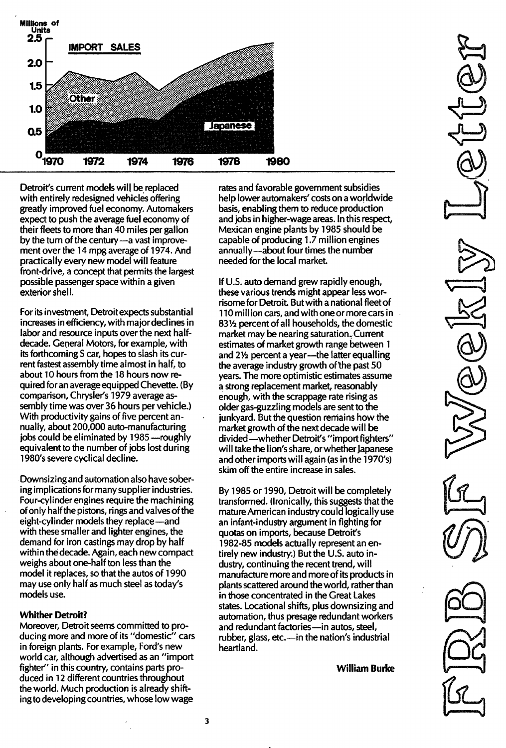

Detroit's current models will be replaced with entirely redesigned vehicles offering greatly improved fuel economy. Automakers expect to push the average fuel economy of their fleets to more than 40 miles per gallon by the turn of the century-a vast improvement over the 14 mpg average of 1974. And practically every new model will feature front-drive, a concept that permits the largest possible passenger space within a given exterior shell.

For its investment, Detroit expects substantial increases in efficiency, with major declines in labor and resource inputs over the next halfdecade. General Motors, for example, with its forthcoming S car, hopes to slash its current fastest assembly time almost in half, to about 10 hours from the 18 hours now required for an average equipped Chevette. (By comparison, Chrysler's 1979 average assembly time was over 36 hours per vehicle.) With productivity gains of five percent annually, about 200,000 auto-manufacturing jobs could be eliminated by 1985 - roughly equivalent to the number of jobs lost during 1980's severe cyclical decline.

Downsizing and automation also have sobering implications for many supplier industries. Four-cylinder engines require the machining of only half the pistons, rings and valves of the eight-cylinder models they replace—and with these smaller and lighter engines, the demand for iron castings may drop by half within the decade. Again, each new compact weighs about one-half ton less than the model it replaces, so that the autos of 1990 may use only half as much steel as today's models use.

### **Whither Detroit?**

Moreover, Detroit seems committed to producing more and more of its "domestic" cars in foreign plants. For example, Ford's new world car, although advertised as an "import fighter" in this country, contains parts produced in 12 different countries throughout the world. Much production is already shifting to developing countries, whose low wage

rates and favorable government subsidies help lower automakers' costs on a worldwide basis, enabling them to reduce production and jobs in higher-wage areas. In this respect, Mexican engine plants by 1985 should be capable of producing 1.7 million engines annually-about four times the number needed for the local market.

If U.S. auto demand grew rapidly enough, these various trends might appear less worrisome for Detroit. But with a national fleet of 110 million cars, and with one or more cars in 831/2 percent of all households, the domestic market may be nearing saturation. Current estimates of market growth range between 1 and 21/2 percent a year-the latter equalling the average industry growth of the past 50 years. The more optimistic estimates assume a strong replacement market, reasonably enough, with the scrappage rate rising as older gas-guzzling models are sent to the junkyard. But the question remains how the market growth of the next decade will be divided - whether Detroit's "import fighters" will take the lion's share, or whether lapanese and other imports will again (as in the 1970's) skim off the entire increase in sales.

By 1985 or 1990, Detroit will be completely transformed. (Ironically, this suggests that the mature American industry could logically use an infant-industry argument in fighting for quotas on imports, because Detroit's 1982-85 models actually represent an entirely new industry.) But the U.S. auto industry, continuing the recent trend, will manufacture more and more of its products in plants scattered around the world, rather than in those concentrated in the Great Lakes states. Locational shifts, plus downsizing and automation, thus presage redundant workers and redundant factories-in autos, steel, rubber, glass, etc.-in the nation's industrial heartland.

**William Burke**